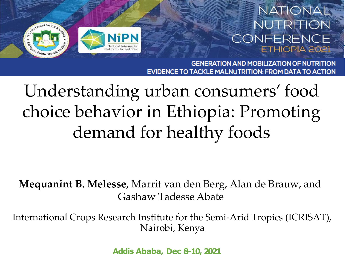### **NATIONAL** NUTRITION CONFERENCE **ETHIOPIA 2021**



**GENERATION AND MOBILIZATION OF NUTRITION EVIDENCE TO TACKLE MALNUTRITION: FROM DATA TO ACTION** 

Understanding urban consumers' food choice behavior in Ethiopia: Promoting demand for healthy foods

**Mequanint B. Melesse**, Marrit van den Berg, Alan de Brauw, and Gashaw Tadesse Abate

International Crops Research Institute for the Semi-Arid Tropics (ICRISAT), Nairobi, Kenya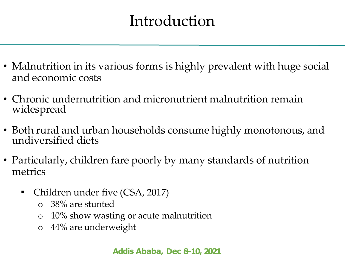# Introduction

- Malnutrition in its various forms is highly prevalent with huge social and economic costs
- Chronic undernutrition and micronutrient malnutrition remain widespread
- Both rural and urban households consume highly monotonous, and undiversified diets
- Particularly, children fare poorly by many standards of nutrition metrics
	- Children under five (CSA, 2017)
		- o 38% are stunted
		- o 10% show wasting or acute malnutrition
		- o 44% are underweight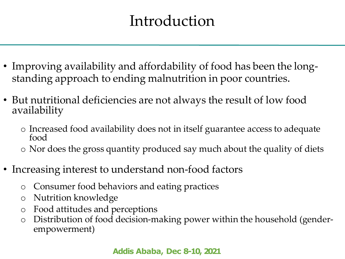# Introduction

- Improving availability and affordability of food has been the longstanding approach to ending malnutrition in poor countries.
- But nutritional deficiencies are not always the result of low food availability
	- o Increased food availability does not in itself guarantee access to adequate food
	- o Nor does the gross quantity produced say much about the quality of diets
- Increasing interest to understand non-food factors
	- o Consumer food behaviors and eating practices
	- o Nutrition knowledge
	- o Food attitudes and perceptions
	- o Distribution of food decision-making power within the household (genderempowerment)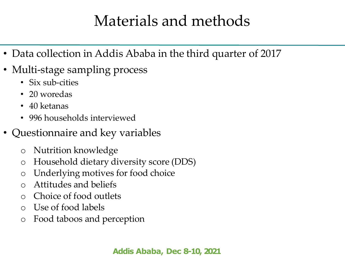### Materials and methods

- Data collection in Addis Ababa in the third quarter of 2017
- Multi-stage sampling process
	- Six sub-cities
	- 20 woredas
	- 40 ketanas
	- 996 households interviewed
- Questionnaire and key variables
	- o Nutrition knowledge
	- o Household dietary diversity score (DDS)
	- o Underlying motives for food choice
	- o Attitudes and beliefs
	- o Choice of food outlets
	- o Use of food labels
	- o Food taboos and perception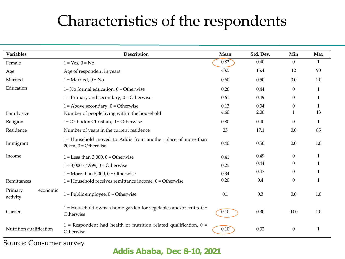# Characteristics of the respondents

| <b>Variables</b>                | Description                                                                          | Mean | Std. Dev. | Min              | Max          |
|---------------------------------|--------------------------------------------------------------------------------------|------|-----------|------------------|--------------|
| Female                          | $1 = Yes, 0 = No$                                                                    | 0.82 | 0.40      | $\theta$         | $\mathbf{1}$ |
| Age                             | Age of respondent in years                                                           | 43.5 | 15.4      | 12               | 90           |
| Married                         | $1 =$ Married, $0 =$ No                                                              | 0.60 | 0.50      | 0.0              | 1.0          |
| Education                       | $1 = No$ formal education, $0 = O$ therwise                                          | 0.26 | 0.44      | $\theta$         | 1            |
|                                 | $1$ = Primary and secondary, $0$ = Otherwise                                         | 0.61 | 0.49      | $\theta$         | 1            |
|                                 | $1 =$ Above secondary, $0 =$ Otherwise                                               | 0.13 | 0.34      | $\theta$         | 1            |
| Family size                     | Number of people living within the household                                         | 4.60 | 2.00      |                  | 13           |
| Religion                        | 1= Orthodox Christian, $0 =$ Otherwise                                               | 0.80 | 0.40      | $\Omega$         | 1            |
| Residence                       | Number of years in the current residence                                             |      | 17.1      | 0.0              | 85           |
| Immigrant                       | 1= Household moved to Addis from another place of more than<br>$20km, 0 = Otherwise$ | 0.40 | 0.50      | 0.0              | 1.0          |
| Income                          | $1 =$ Less than 3,000, 0 = Otherwise                                                 | 0.41 | 0.49      | $\theta$         | 1            |
|                                 | $1 = 3,000 - 4,999, 0 = 0$ therwise                                                  | 0.25 | 0.44      | $\mathbf{0}$     | -1           |
|                                 | $1 =$ More than 5,000, 0 = Otherwise                                                 | 0.34 | 0.47      | $\theta$         | 1            |
| Remittances                     | 1 = Household receives remittance income, $0 =$ Otherwise                            | 0.20 | 0.4       | $\theta$         | $\mathbf{1}$ |
| Primary<br>economic<br>activity | $1 =$ Public employee, $0 =$ Otherwise                                               | 0.1  | 0.3       | 0.0              | 1.0          |
| Garden                          | 1 = Household owns a home garden for vegetables and/or fruits, $0 =$<br>Otherwise    | 0.10 | 0.30      | 0.00             | $1.0\,$      |
| Nutrition qualification         | $1$ = Respondent had health or nutrition related qualification, $0 =$<br>Otherwise   | 0.10 | 0.32      | $\boldsymbol{0}$ | $\mathbf{1}$ |

Source: Consumer survey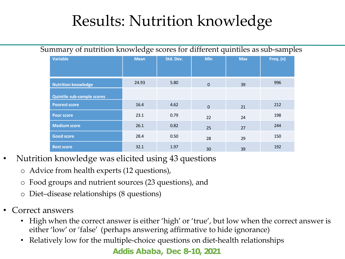# Results: Nutrition knowledge

| Summary of nutrition knowledge scores for different quintiles as sub-samples |                                   |             |           |              |            |           |  |  |  |
|------------------------------------------------------------------------------|-----------------------------------|-------------|-----------|--------------|------------|-----------|--|--|--|
|                                                                              | <b>Variable</b>                   | <b>Mean</b> | Std. Dev. | <b>Min</b>   | <b>Max</b> | Freq. (n) |  |  |  |
|                                                                              | <b>Nutrition knowledge</b>        | 24.93       | 5.80      | $\mathbf{0}$ | 39         | 996       |  |  |  |
|                                                                              | <b>Quintile sub-sample scores</b> |             |           |              |            |           |  |  |  |
|                                                                              | <b>Poorest score</b>              | 16.4        | 4.62      | $\mathbf{0}$ | 21         | 212       |  |  |  |
|                                                                              | <b>Poor score</b>                 | 23.1        | 0.79      | 22           | 24         | 198       |  |  |  |
|                                                                              | <b>Medium score</b>               | 26.1        | 0.82      | 25           | 27         | 244       |  |  |  |
|                                                                              | <b>Good score</b>                 | 28.4        | 0.50      | 28           | 29         | 150       |  |  |  |
|                                                                              | <b>Best score</b>                 | 32.1        | 1.97      | 30           | 39         | 192       |  |  |  |

- Nutrition knowledge was elicited using 43 questions
	- o Advice from health experts (12 questions),
	- o Food groups and nutrient sources (23 questions), and
	- o Diet–disease relationships (8 questions)
- Correct answers
	- High when the correct answer is either 'high' or 'true', but low when the correct answer is either 'low' or 'false' (perhaps answering affirmative to hide ignorance)
	- Relatively low for the multiple-choice questions on diet-health relationships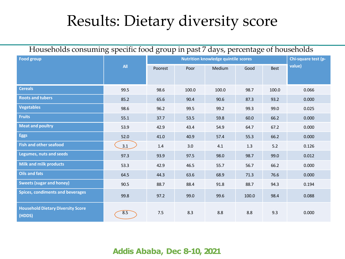### Results: Dietary diversity score

| Households consuming specific food group in past 7 days, percentage of households |            |         |                     |        |       |             |        |  |
|-----------------------------------------------------------------------------------|------------|---------|---------------------|--------|-------|-------------|--------|--|
| <b>Food group</b>                                                                 |            |         | Chi-square test (p- |        |       |             |        |  |
|                                                                                   | <b>All</b> | Poorest | Poor                | Medium | Good  | <b>Best</b> | value) |  |
|                                                                                   |            |         |                     |        |       |             |        |  |
| <b>Cereals</b>                                                                    | 99.5       | 98.6    | 100.0               | 100.0  | 98.7  | 100.0       | 0.066  |  |
| <b>Roots and tubers</b>                                                           | 85.2       | 65.6    | 90.4                | 90.6   | 87.3  | 93.2        | 0.000  |  |
| <b>Vegetables</b>                                                                 | 98.6       | 96.2    | 99.5                | 99.2   | 99.3  | 99.0        | 0.025  |  |
| <b>Fruits</b>                                                                     | 55.1       | 37.7    | 53.5                | 59.8   | 60.0  | 66.2        | 0.000  |  |
| <b>Meat and poultry</b>                                                           | 53.9       | 42.9    | 43.4                | 54.9   | 64.7  | 67.2        | 0.000  |  |
| <b>Eggs</b>                                                                       | 52.0       | 41.0    | 40.9                | 57.4   | 55.3  | 66.2        | 0.000  |  |
| <b>Fish and other seafood</b>                                                     | 3.1        | 1.4     | 3.0                 | 4.1    | 1.3   | 5.2         | 0.126  |  |
| <b>Legumes, nuts and seeds</b>                                                    | 97.3       | 93.9    | 97.5                | 98.0   | 98.7  | 99.0        | 0.012  |  |
| <b>Milk and milk products</b>                                                     | 53.3       | 42.9    | 46.5                | 55.7   | 56.7  | 66.2        | 0.000  |  |
| <b>Oils and fats</b>                                                              | 64.5       | 44.3    | 63.6                | 68.9   | 71.3  | 76.6        | 0.000  |  |
| <b>Sweets (sugar and honey)</b>                                                   | 90.5       | 88.7    | 88.4                | 91.8   | 88.7  | 94.3        | 0.194  |  |
| <b>Spices, condiments and beverages</b>                                           | 99.8       | 97.2    | 99.0                | 99.6   | 100.0 | 98.4        | 0.088  |  |
| <b>Household Dietary Diversity Score</b><br>(HDDS)                                | 8.5        | 7.5     | 8.3                 | 8.8    | 8.8   | 9.3         | 0.000  |  |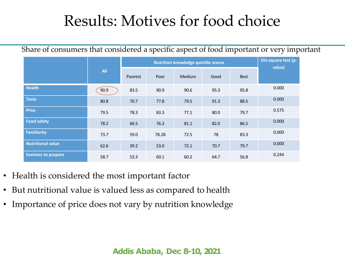### Results: Motives for food choice

Share of consumers that considered a specific aspect of food important or very important

|                            |            |         | Chi-square test (p-<br>value) |               |      |             |       |
|----------------------------|------------|---------|-------------------------------|---------------|------|-------------|-------|
|                            | <b>All</b> | Poorest | Poor                          | <b>Medium</b> | Good | <b>Best</b> |       |
| <b>Health</b>              | 90.9       | 83.5    | 90.9                          | 90.6          | 95.3 | 95.8        | 0.000 |
| <b>Taste</b>               | 80.8       | 70.7    | 77.8                          | 79.5          | 91.3 | 88.5        | 0.000 |
| <b>Price</b>               | 79.5       | 78.3    | 83.3                          | 77.1          | 80.0 | 79.7        | 0.575 |
| <b>Food safety</b>         | 78.2       | 66.5    | 76.3                          | 81.1          | 82.0 | 86.5        | 0.000 |
| <b>Familiarity</b>         | 73.7       | 59.0    | 78.28                         | 72.5          | 78   | 83.3        | 0.000 |
| <b>Nutritional value</b>   | 62.6       | 39.2    | 53.0                          | 72.1          | 70.7 | 79.7        | 0.000 |
| <b>Easiness to prepare</b> | 58.7       | 53.3    | 60.1                          | 60.2          | 64.7 | 56.8        | 0.244 |

- Health is considered the most important factor
- But nutritional value is valued less as compared to health
- Importance of price does not vary by nutrition knowledge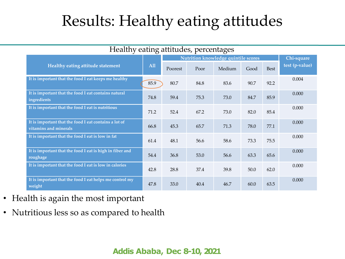# Results: Healthy eating attitudes

| Healthy eating attitudes, percentages                                          |      |                                     |      |        |      |             |                |
|--------------------------------------------------------------------------------|------|-------------------------------------|------|--------|------|-------------|----------------|
|                                                                                |      | Nutrition knowledge quintile scores |      |        |      |             | Chi-square     |
| Healthy eating attitude statement                                              | All  | Poorest                             | Poor | Medium | Good | <b>Best</b> | test (p-value) |
| It is important that the food I eat keeps me healthy                           | 85.9 | 80.7                                | 84.8 | 83.6   | 90.7 | 92.2        | 0.004          |
| It is important that the food I eat contains natural<br>ingredients            | 74.8 | 59.4                                | 75.3 | 73.0   | 84.7 | 85.9        | 0.000          |
| It is important that the food I eat is nutritious                              | 71.2 | 52.4                                | 67.2 | 73.0   | 82.0 | 85.4        | 0.000          |
| It is important that the food I eat contains a lot of<br>vitamins and minerals | 66.8 | 45.3                                | 65.7 | 71.3   | 78.0 | 77.1        | 0.000          |
| It is important that the food I eat is low in fat                              | 61.4 | 48.1                                | 56.6 | 58.6   | 73.3 | 75.5        | 0.000          |
| It is important that the food I eat is high in fiber and<br>roughage           | 54.4 | 36.8                                | 53.0 | 56.6   | 63.3 | 65.6        | 0.000          |
| It is important that the food I eat is low in calories                         | 42.8 | 28.8                                | 37.4 | 39.8   | 50.0 | 62.0        | 0.000          |
| It is important that the food I eat helps me control my<br>weight              | 47.8 | 33.0                                | 40.4 | 46.7   | 60.0 | 63.5        | 0.000          |

- Health is again the most important
- Nutritious less so as compared to health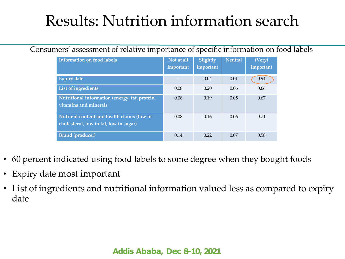# Results: Nutrition information search

#### Consumers' assessment of relative importance of specific information on food labels

| <b>Information on food labels</b>                                                    | Not at all<br>important | Slightly<br>important | <b>Neutral</b> | (Very)<br>important |
|--------------------------------------------------------------------------------------|-------------------------|-----------------------|----------------|---------------------|
| <b>Expiry date</b>                                                                   |                         | 0.04                  | 0.01           | 0.94                |
| List of ingredients                                                                  | 0.08                    | 0.20                  | 0.06           | 0.66                |
| Nutritional information (energy, fat, protein,<br>vitamins and minerals              | 0.08                    | 0.19                  | 0.05           | 0.67                |
| Nutrient content and health claims (low in<br>cholesterol, low in fat, low in sugar) | 0.08                    | 0.16                  | 0.06           | 0.71                |
| <b>Brand</b> (producer)                                                              | 0.14                    | 0.22                  | 0.07           | 0.58                |

- 60 percent indicated using food labels to some degree when they bought foods
- Expiry date most important
- List of ingredients and nutritional information valued less as compared to expiry date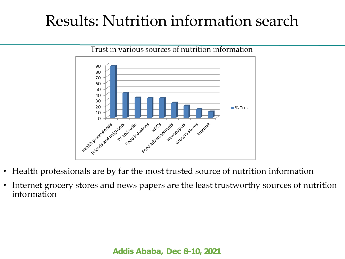### Results: Nutrition information search



- Health professionals are by far the most trusted source of nutrition information
- Internet grocery stores and news papers are the least trustworthy sources of nutrition information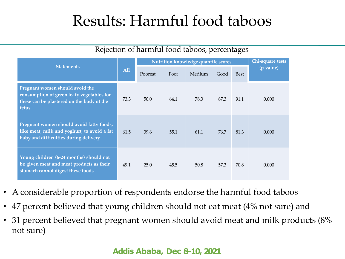### Results: Harmful food taboos

| <b>Statements</b>                                                                                                                  |      | Nutrition knowledge quantile scores | Chi-square tests |        |      |             |           |
|------------------------------------------------------------------------------------------------------------------------------------|------|-------------------------------------|------------------|--------|------|-------------|-----------|
|                                                                                                                                    |      | Poorest                             | Poor             | Medium | Good | <b>Best</b> | (p-value) |
| Pregnant women should avoid the<br>consumption of green leafy vegetables for<br>these can be plastered on the body of the<br>fetus | 73.3 | 50.0                                | 64.1             | 78.3   | 87.3 | 91.1        | 0.000     |
| Pregnant women should avoid fatty foods,<br>like meat, milk and yoghurt, to avoid a fat<br>baby and difficulties during delivery   | 61.5 | 39.6                                | 55.1             | 61.1   | 76.7 | 81.3        | 0.000     |
| Young children (6-24 months) should not<br>be given meat and meat products as their<br>stomach cannot digest these foods           | 49.1 | 25.0                                | 45.5             | 50.8   | 57.3 | 70.8        | 0.000     |

#### Rejection of harmful food taboos, percentages

- A considerable proportion of respondents endorse the harmful food taboos
- 47 percent believed that young children should not eat meat (4% not sure) and
- 31 percent believed that pregnant women should avoid meat and milk products (8% not sure)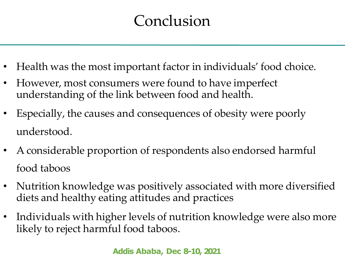# Conclusion

- Health was the most important factor in individuals' food choice.
- However, most consumers were found to have imperfect understanding of the link between food and health.
- Especially, the causes and consequences of obesity were poorly understood.
- A considerable proportion of respondents also endorsed harmful food taboos
- Nutrition knowledge was positively associated with more diversified diets and healthy eating attitudes and practices
- Individuals with higher levels of nutrition knowledge were also more likely to reject harmful food taboos.